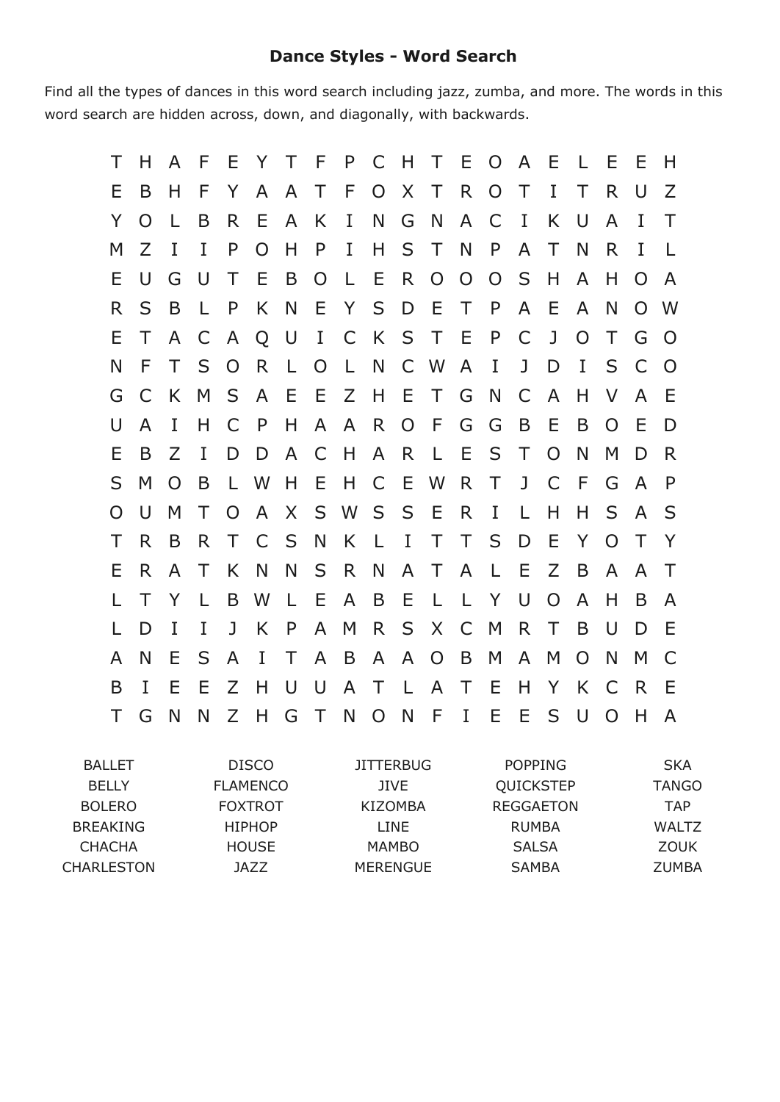## **Dance Styles Word Search**

Find all the types of dances in this word search including jazz, zumba, and more. The words in this word search are hidden across, down, and diagonally, with backwards.

| Τ  | H  | A F          |              |                | EYT            |              |                |              |              |                 | F P C H T E O A E |                |                |              |              | L E         |                | - E      | H              |
|----|----|--------------|--------------|----------------|----------------|--------------|----------------|--------------|--------------|-----------------|-------------------|----------------|----------------|--------------|--------------|-------------|----------------|----------|----------------|
| E  | B  | H            | F            | Y              | $\mathsf{A}$   | $\mathsf{A}$ | $\top$         | F.           |              |                 | O X T R           |                | $\overline{O}$ | $\top$       | $\bf{I}$     | Τ           | R.             | U        | Z              |
| Y  | O  | L            | B            | R.             | E              | $\mathsf{A}$ | K.             | I            | N            | G               | - N               | $\mathsf{A}$   | C              | $\mathbf{I}$ | K.           | $\cup$      | A              | $\bf{I}$ | $\top$         |
| M  | Z  | $\mathbf{I}$ | $\bf{I}$     | P              | $\Omega$       | H            | P              | $\mathbf I$  | H            |                 | S T               | $\mathbb N$    | $\mathsf{P}$   | $\mathsf{A}$ | T            | N           | R              | I        | $\perp$        |
| E  | U  | G            | $\cup$       | $\top$         | Ε              | B            | $\overline{O}$ | -L.          | - E          | $R_{\parallel}$ | $\overline{O}$    | $\overline{O}$ | $\overline{O}$ | S            | H            | A           | H              | O        | A              |
| R. | S  | B            | L.           | P              | K              | N            | E              |              | Y S D E      |                 |                   | T              | P              | A            | Ε            | A           | N              | $\Omega$ | W              |
| E. | T  | $\mathsf{A}$ | C            | $\mathsf{A}$   | $\overline{Q}$ | U            | $\mathbf{I}$   | $\mathsf{C}$ |              |                 | K S T E           |                | P              | C            | $\mathbf{J}$ | $\Omega$    | Τ              | G        | $\Omega$       |
| N  | F  | T.           | S            | $\overline{O}$ | R              | $\mathsf{L}$ | $\overline{O}$ | $\mathsf{L}$ |              |                 | N C W A           |                | $\mathbf{I}$   | $\mathbf{J}$ | D            | $\mathbf I$ | S              | C        | $\overline{O}$ |
| G  | C  | K            | M            | S              | A E            |              | - E            |              |              |                 | Z H E T G         |                | N              | C            | $\mathsf{A}$ | Н           | V              | A        | E              |
| U  | A  | I            | H            | C              | $\mathsf{P}$   | H            | A              | $\mathsf{A}$ | R.           | $\overline{O}$  | - F               | G              | G              | B            | Ε            | B           | O              | Е        | D              |
| Е  | B  | Z            | I            | D              | D              | $\mathsf{A}$ | C              | H            |              | A R             | L E               |                | S              | T            | O            | N           | M              | D        | R              |
| S  | M  | O            | B            | L W            |                | H            | - E            | H C E W      |              |                 |                   | R.             | T.             | ${\bf J}$    | $\mathsf{C}$ | F           | G              | A        | $\mathsf{P}$   |
| O  | U  | M            | $\top$       | $\overline{O}$ | A              | X            |                |              |              |                 | SWSSER            |                | $\mathbf{I}$   | $\mathsf{L}$ | H            | Н           | S              | A        | S              |
| Τ  | R. | B            | R.           | T.             | C S            |              | N              | K            | $\mathsf{L}$ | $\mathbf{I}$    | $\top$            | $\top$         | S.             | D            | Ε            | Y           | $\Omega$       | Τ        | Y              |
| Е  | R. | $\mathsf{A}$ | $\top$       | K              | N              | N            | S              | R.           | N,           |                 | A T               | $\mathsf{A}$   | $\perp$        | E            | Z            | B           | A              | A        | Τ              |
|    | T  | Y            | $\mathsf{L}$ |                | B W            | $\mathsf{L}$ | - E            |              | A B E        |                 | LLYU              |                |                |              | $\Omega$     | A           | H              | B        | A              |
| L  | D  | $\mathbf{I}$ | $\bf{I}$     |                | J K            | $\mathsf{P}$ | $\mathsf{A}$   |              |              |                 | M R S X C         |                | $M_{\odot}$    | R            | $\top$       | B           | U              | D        | E              |
| A  | N  | Е            | S            | A              | $\bf{I}$       | $\top$       | $\mathsf{A}$   | B            |              |                 | A A O             | B              | M              | A            | M            | $\Omega$    | N              | M        | C              |
| B  | I  | Е            | E            | Ζ              | H              | $\cup$       | $\cup$         |              | A T L A      |                 |                   | T E            |                | H            | Y            | K           | C              | R.       | - E            |
| T  | G  | <b>N</b>     | N            |                | Z H            | G            |                |              |              |                 | TNONFIEE          |                |                |              |              | S U         | $\overline{O}$ | H        | A              |

| <b>BALLET</b>   | DISCO           | <b>JITTERBUG</b> | <b>POPPING</b>   | <b>SKA</b>   |
|-----------------|-----------------|------------------|------------------|--------------|
| <b>BELLY</b>    | <b>FLAMENCO</b> | JIVE.            | QUICKSTEP        | <b>TANGO</b> |
| <b>BOLERO</b>   | <b>FOXTROT</b>  | KIZOMBA          | <b>REGGAETON</b> | <b>TAP</b>   |
| <b>BREAKING</b> | <b>HIPHOP</b>   | LINE             | RUMBA            | <b>WALTZ</b> |
| <b>CHACHA</b>   | <b>HOUSE</b>    | <b>MAMBO</b>     | <b>SALSA</b>     | ZOUK         |
| CHARLESTON      | JAZZ            | <b>MERENGUE</b>  | <b>SAMBA</b>     | <b>ZUMBA</b> |
|                 |                 |                  |                  |              |